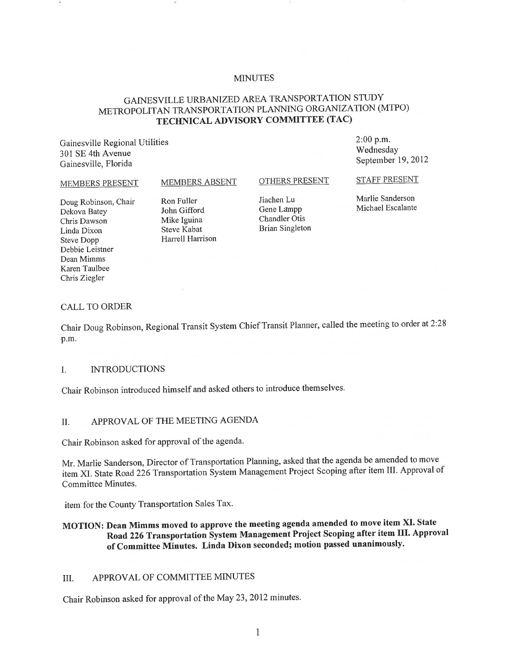#### MINUTES

# GAINESVILLE URBANIZED AREA TRANSPORTATION STUDY METROPOLITAN TRANSPORTATION PLANNING ORGANIZATION (MTPO) **TECHNICAL ADVISORY COMMITTEE (TAC)**

Gainesville Regional Utilities 301 SE 4th Avenue Gainesville, Florida

2:00 p.m. Wednesday September 19,2012

#### MEMBERS PRESENT

MEMBERS ABSENT

#### OTHERS PRESENT

STAFF PRESENT

Doug Robinson, Chair Dekova Batey Chris Dawson Linda Dixon Steve Dopp Debbie Leistner Dean Mimms Karen Taulbee Chris Ziegler

Ron Fuller John Gifford Mike Iguina Steve Kabat Harrell Harrison

liachen Lu Gene Lampp Chandler Otis Brian Singleton

Marlie Sanderson Michael Escalante

#### CALL TO ORDER

Chair Doug Robinson, Regional Transit System Chief Transit Planner, called the meeting to order at 2:28 p.m.

#### 1. INTRODUCTIONS

Chair Robinson introduced himself and asked others to introduce themselves.

## II. APPROVAL OF THE MEETING AGENDA

Chair Robinson asked for approval of the agenda.

Mr. Marlie Sanderson, Director of Transportation Planning, asked that the agenda be amended to move item XI. State Road 226 Transportation System Management Project Scoping after item III. Approval of Committee Minutes.

item for the County Transportation Sales Tax.

**MOTION: Dean Mimms moved to approve the meeting agenda amended to move item XI. State Road 226 Transportation System Management Project Scoping after item TIl. Approval of Committee Minutes. Linda Dixon seconded; motion passed unanimously.** 

# III. APPROVAL OF COMMITTEE MINUTES

Chair Robinson asked for approval of the May 23,2012 minutes.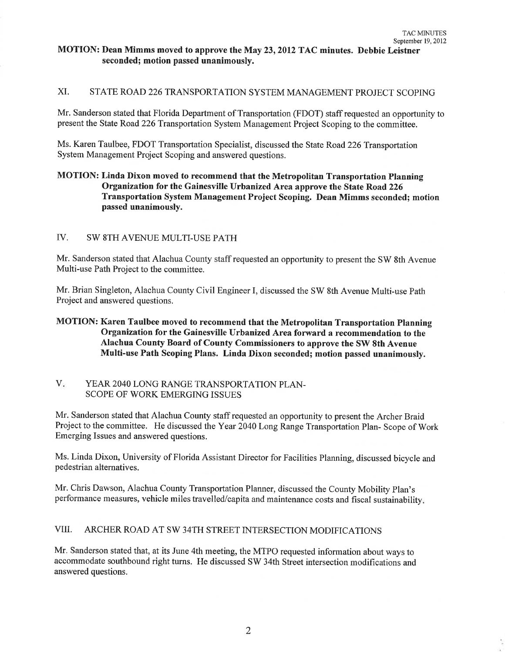## MOTION: Dean Mimms moved to approve the May 23, 2012 TAC minutes. Debbie Leistner seconded; motion passed unanimously.

# XI. STATE ROAD 226 TRANSPORTATION SYSTEM MANAGEMENT PROJECT SCOPING

Mr. Sanderson stated that Florida Department of Transportation (FDOT) staff requested an opportunity to present the State Road 226 Transportation System Management Project Scoping to the committee.

Ms. Karen Taulbee, FDOT Transportation Specialist, discussed the State Road 226 Transportation System Management Project Scoping and answered questions.

## MOTION: Linda Dixon moved to recommend that the Metropolitan Transportation Planning Organization for the Gainesville Urbanized Area approve the State Road 226 Transportation System Management Project Scoping. Dean Mimms seconded; motion passed unanimously.

### IV. SW 8TH AVENUE MULTI-USE PATH

Mr. Sanderson stated that Alachua County staff requested an opportunity to present the SW 8th Avenue Multi-use Path Project to the committee.

Mr. Brian Singleton, Alachua County Civil Engineer I, discussed the SW 8th Avenue Multi-use Path Project and answered questions.

## MOTION: Karen Taulbee moved to recommend that the Metropolitan Transportation Planning Organization for the Gainesville Urbanized Area forward a recommendation to the Alachua County Board of County Commissioners to approve the SW 8th Avenue Multi-use Path Scoping Plans. Linda Dixon seconded; motion passed unanimously.

### V. YEAR 2040 LONG RANGE TRANSPORTATION PLAN-SCOPE OF WORK EMERGING ISSUES

Mr. Sanderson stated that Alachua County staff requested an opportunity to present the Archer Braid Project to the committee. He discussed the Year 2040 Long Range Transportation Plan- Scope of Work Emerging Issues and answered questions.

Ms. Linda Dixon, University of Florida Assistant Director for Facilities Planning, discussed bicycle and pedestrian alternatives.

Mr. Chris Dawson, Alachua County Transportation Planner, discussed the County Mobility Plan's performance measures, vehicle miles travelled/capita and maintenance costs and fiscal sustainability.

## VIII. ARCHER ROAD AT SW 34TH STREET INTERSECTION MODIFICATIONS

Mr. Sanderson stated that, at its June 4th meeting, the MTPO requested information about ways to accommodate southbound right turns. He discussed SW 34th Street intersection modifications and answered questions.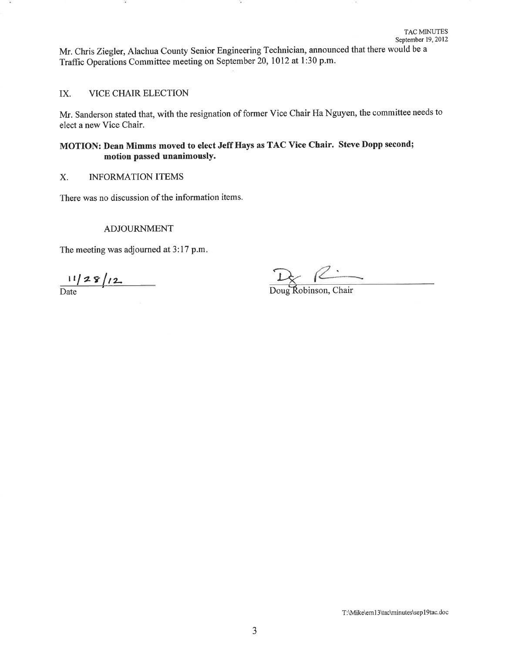Mr. Chris Ziegler, Alachua County Senior Engineering Technician, announced that there would be a Traffic Operations Committee meeting on September 20, 1012 at 1:30 p.m.

#### IX. VICE CHAIR ELECTION

Mr. Sanderson stated that, with the resignation of former Vice Chair Ha Nguyen, the committee needs to elect a new Vice Chair.

# MOTION: Dean Mimms moved to elect Jeff Hays as TAC Vice Chair. Steve Dopp second; motion passed unanimously.

### X. INFORMATION ITEMS

There was no discussion of the information items.

#### ADJOURNMENT

The meeting was adjourned at 3:17 p.m.

 $\frac{11}{\text{Date}}$   $\frac{1}{\text{Date}}$   $\frac{1}{\text{Date}}$